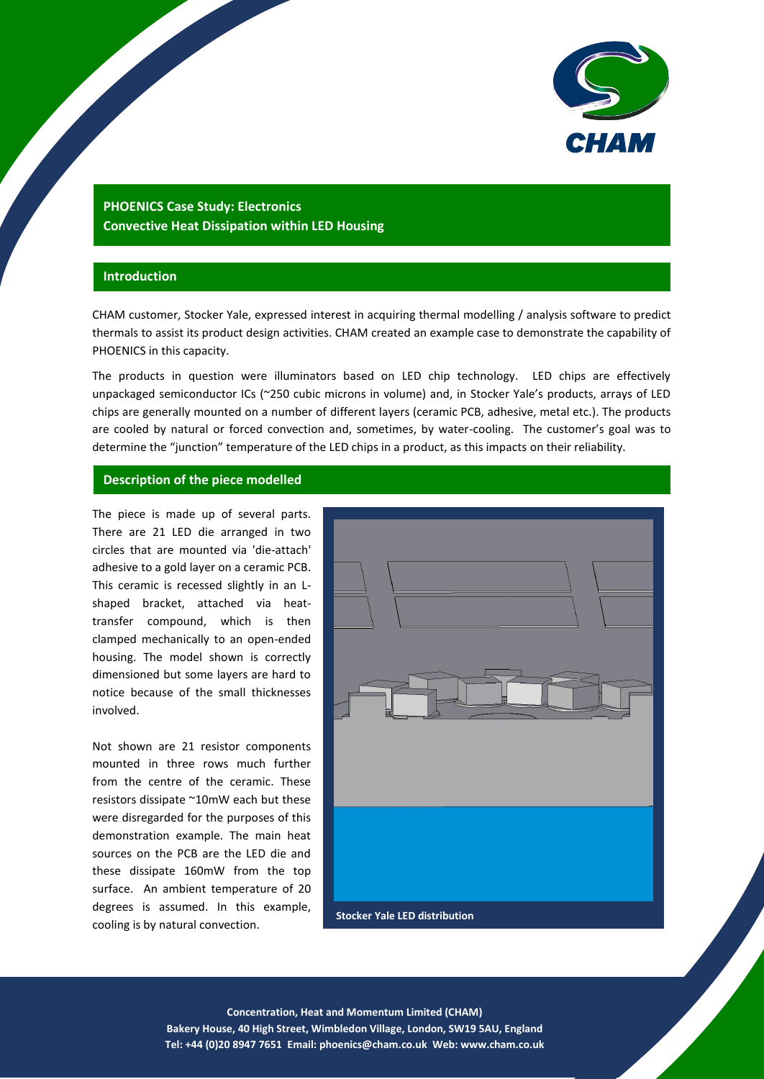

# **PHOENICS Case Study: Electronics Convective Heat Dissipation within LED Housing**

## **Introduction**

CHAM customer, Stocker Yale, expressed interest in acquiring thermal modelling / analysis software to predict thermals to assist its product design activities. CHAM created an example case to demonstrate the capability of PHOENICS in this capacity.

The products in question were illuminators based on LED chip technology. LED chips are effectively unpackaged semiconductor ICs (~250 cubic microns in volume) and, in Stocker Yale's products, arrays of LED chips are generally mounted on a number of different layers (ceramic PCB, adhesive, metal etc.). The products are cooled by natural or forced convection and, sometimes, by water-cooling. The customer's goal was to determine the "junction" temperature of the LED chips in a product, as this impacts on their reliability.

### **Description of the piece modelled**

The piece is made up of several parts. There are 21 LED die arranged in two circles that are mounted via 'die-attach' adhesive to a gold layer on a ceramic PCB. This ceramic is recessed slightly in an Lshaped bracket, attached via heattransfer compound, which is then clamped mechanically to an open-ended housing. The model shown is correctly dimensioned but some layers are hard to notice because of the small thicknesses involved.

Not shown are 21 resistor components mounted in three rows much further from the centre of the ceramic. These resistors dissipate ~10mW each but these were disregarded for the purposes of this demonstration example. The main heat sources on the PCB are the LED die and these dissipate 160mW from the top surface. An ambient temperature of 20 degrees is assumed. In this example, cooling is by natural convection.



1 **Concentration, Heat and Momentum Limited (CHAM) Bakery House, 40 High Street, Wimbledon Village, London, SW19 5AU, England Tel: +44 (0)20 8947 7651 Email[: phoenics@cham.co.uk](mailto:phoenics@cham.co.uk) Web: www.cham.co.uk**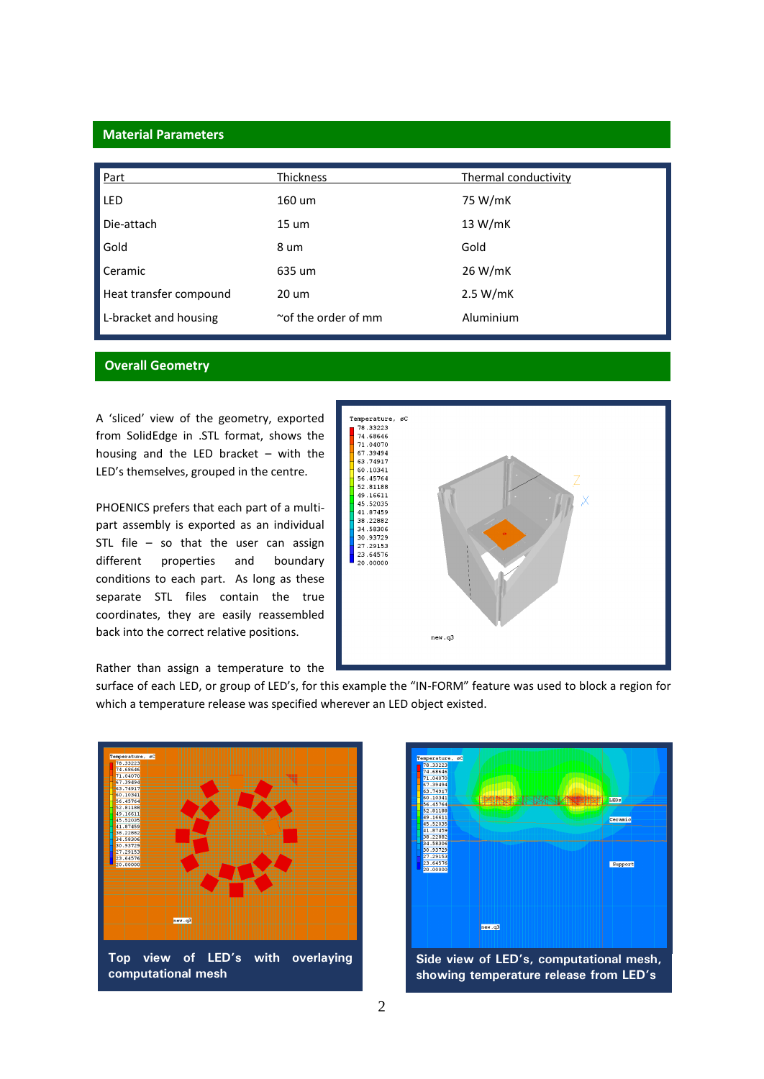# **Material Parameters**

| Part                   | Thickness                 | Thermal conductivity |
|------------------------|---------------------------|----------------------|
| <b>LED</b>             | 160 um                    | 75 W/mK              |
| Die-attach             | $15 \text{ um}$           | 13 W/mK              |
| Gold                   | 8 um                      | Gold                 |
| Ceramic                | 635 um                    | 26 W/mK              |
| Heat transfer compound | 20 um                     | 2.5 W/mK             |
| L-bracket and housing  | $\sim$ of the order of mm | Aluminium            |

## **Overall Geometry**

A 'sliced' view of the geometry, exported from SolidEdge in .STL format, shows the housing and the LED bracket – with the LED's themselves, grouped in the centre.

PHOENICS prefers that each part of a multipart assembly is exported as an individual STL file – so that the user can assign different properties and boundary conditions to each part. As long as these separate STL files contain the true coordinates, they are easily reassembled back into the correct relative positions.



Rather than assign a temperature to the

surface of each LED, or group of LED's, for this example the "IN-FORM" feature was used to block a region for which a temperature release was specified wherever an LED object existed.



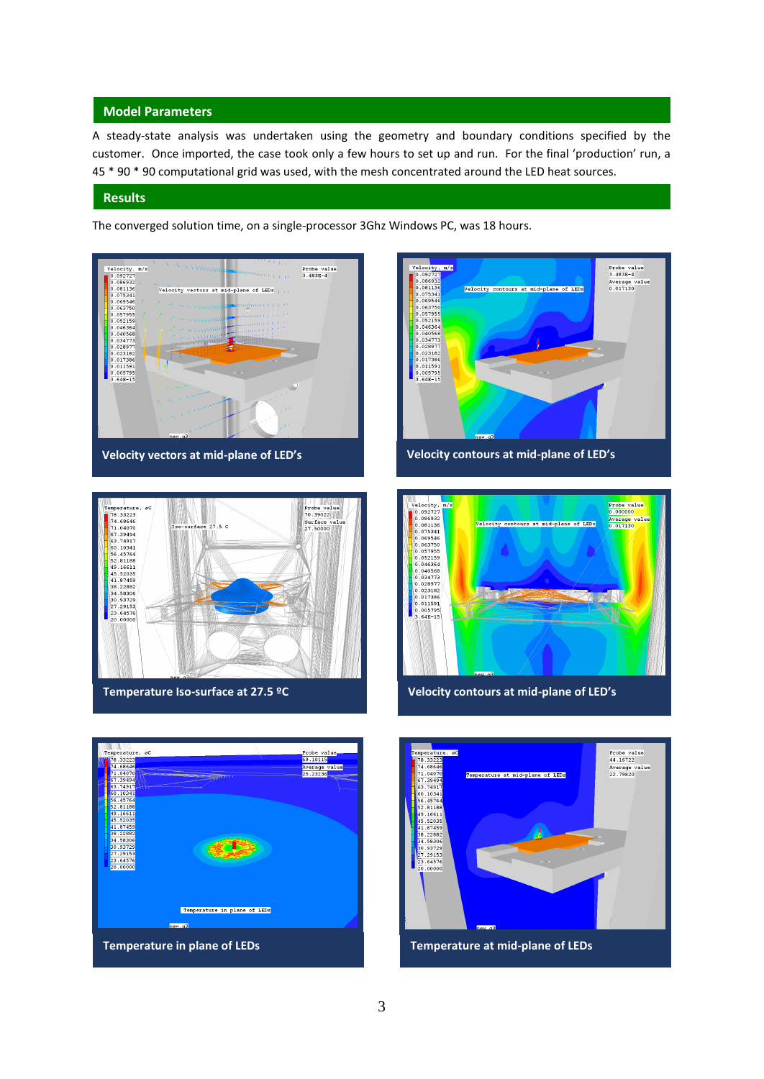### **Model Parameters**

A steady-state analysis was undertaken using the geometry and boundary conditions specified by the customer. Once imported, the case took only a few hours to set up and run. For the final 'production' run, a 45 \* 90 \* 90 computational grid was used, with the mesh concentrated around the LED heat sources.

#### **Results**

The converged solution time, on a single-processor 3Ghz Windows PC, was 18 hours.



**Velocity vectors at mid-plane of LED's Velocity contours at mid-plane of LED's**









**Temperature Iso-surface at 27.5 ºC Velocity contours at mid-plane of LED's**